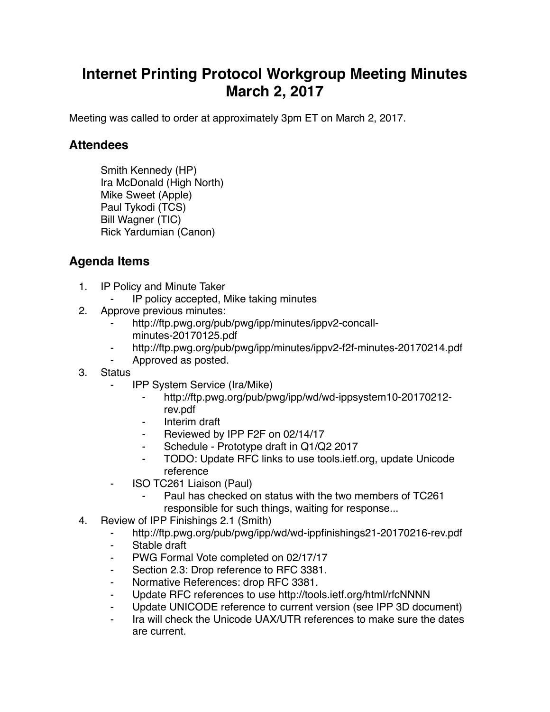## **Internet Printing Protocol Workgroup Meeting Minutes March 2, 2017**

Meeting was called to order at approximately 3pm ET on March 2, 2017.

## **Attendees**

Smith Kennedy (HP) Ira McDonald (High North) Mike Sweet (Apple) Paul Tykodi (TCS) Bill Wagner (TIC) Rick Yardumian (Canon)

## **Agenda Items**

- 1. IP Policy and Minute Taker
	- IP policy accepted, Mike taking minutes
- 2. Approve previous minutes:
	- http://ftp.pwg.org/pub/pwg/ipp/minutes/ippv2-concallminutes-20170125.pdf
	- ⁃ http://ftp.pwg.org/pub/pwg/ipp/minutes/ippv2-f2f-minutes-20170214.pdf
	- Approved as posted.
- 3. Status
	- ⁃ IPP System Service (Ira/Mike)
		- ⁃ http://ftp.pwg.org/pub/pwg/ipp/wd/wd-ippsystem10-20170212 rev.pdf
		- ⁃ Interim draft
		- Reviewed by IPP F2F on 02/14/17
		- Schedule Prototype draft in Q1/Q2 2017
		- ⁃ TODO: Update RFC links to use tools.ietf.org, update Unicode reference
	- ⁃ ISO TC261 Liaison (Paul)
		- Paul has checked on status with the two members of TC261 responsible for such things, waiting for response...
- 4. Review of IPP Finishings 2.1 (Smith)
	- ⁃ http://ftp.pwg.org/pub/pwg/ipp/wd/wd-ippfinishings21-20170216-rev.pdf
	- ⁃ Stable draft
	- ⁃ PWG Formal Vote completed on 02/17/17
	- ⁃ Section 2.3: Drop reference to RFC 3381.
	- ⁃ Normative References: drop RFC 3381.
	- ⁃ Update RFC references to use http://tools.ietf.org/html/rfcNNNN
	- Update UNICODE reference to current version (see IPP 3D document)
	- Ira will check the Unicode UAX/UTR references to make sure the dates are current.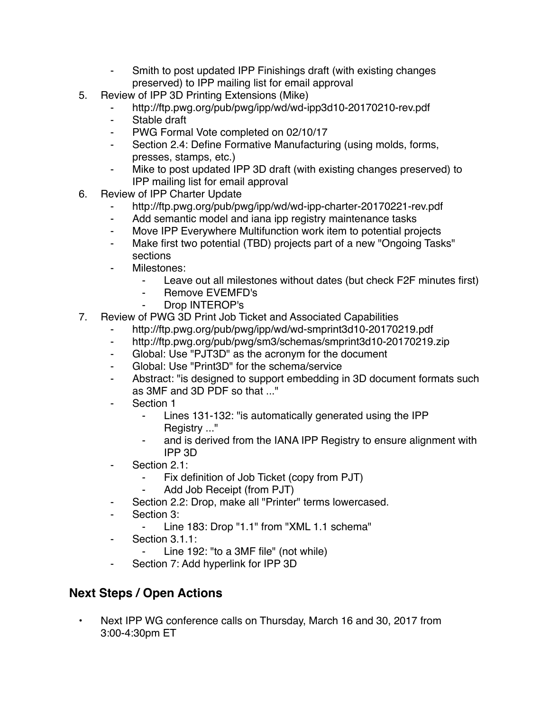- Smith to post updated IPP Finishings draft (with existing changes preserved) to IPP mailing list for email approval
- 5. Review of IPP 3D Printing Extensions (Mike)
	- http://ftp.pwg.org/pub/pwg/ipp/wd/wd-ipp3d10-20170210-rev.pdf
	- ⁃ Stable draft
	- ⁃ PWG Formal Vote completed on 02/10/17
	- ⁃ Section 2.4: Define Formative Manufacturing (using molds, forms, presses, stamps, etc.)
	- Mike to post updated IPP 3D draft (with existing changes preserved) to IPP mailing list for email approval
- 6. Review of IPP Charter Update
	- ⁃ http://ftp.pwg.org/pub/pwg/ipp/wd/wd-ipp-charter-20170221-rev.pdf
	- Add semantic model and iana ipp registry maintenance tasks
	- ⁃ Move IPP Everywhere Multifunction work item to potential projects
	- ⁃ Make first two potential (TBD) projects part of a new "Ongoing Tasks" sections
	- Milestones:
		- ⁃ Leave out all milestones without dates (but check F2F minutes first)
		- Remove EVEMFD's
		- ⁃ Drop INTEROP's
- 7. Review of PWG 3D Print Job Ticket and Associated Capabilities
	- ⁃ http://ftp.pwg.org/pub/pwg/ipp/wd/wd-smprint3d10-20170219.pdf
	- ⁃ http://ftp.pwg.org/pub/pwg/sm3/schemas/smprint3d10-20170219.zip
	- ⁃ Global: Use "PJT3D" as the acronym for the document
	- ⁃ Global: Use "Print3D" for the schema/service
	- Abstract: "is designed to support embedding in 3D document formats such as 3MF and 3D PDF so that ..."
	- Section 1
		- Lines 131-132: "is automatically generated using the IPP Registry ..."
		- ⁃ and is derived from the IANA IPP Registry to ensure alignment with IPP 3D
	- Section 2.1:
		- ⁃ Fix definition of Job Ticket (copy from PJT)
		- Add Job Receipt (from PJT)
	- Section 2.2: Drop, make all "Printer" terms lowercased.
	- Section 3:
		- ⁃ Line 183: Drop "1.1" from "XML 1.1 schema"
	- ⁃ Section 3.1.1:
		- Line 192: "to a 3MF file" (not while)
	- Section 7: Add hyperlink for IPP 3D

## **Next Steps / Open Actions**

• Next IPP WG conference calls on Thursday, March 16 and 30, 2017 from 3:00-4:30pm ET